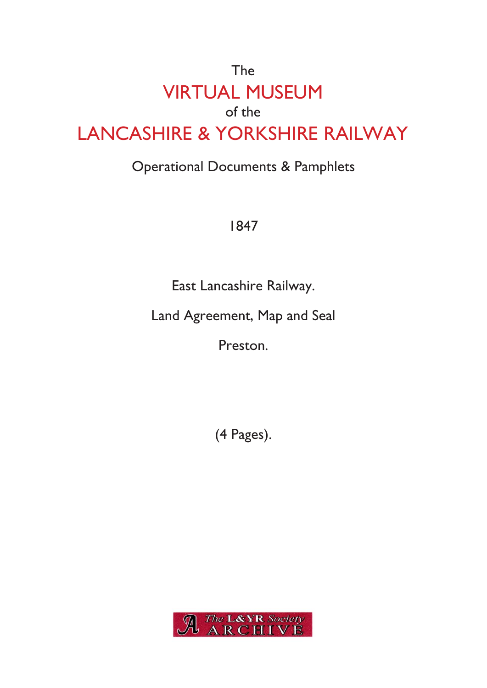## The VIRTUAL MUSEUM of the LANCASHIRE & YORKSHIRE RAILWAY

## Operational Documents & Pamphlets

1847

East Lancashire Railway.

Land Agreement, Map and Seal

Preston.

(4 Pages).

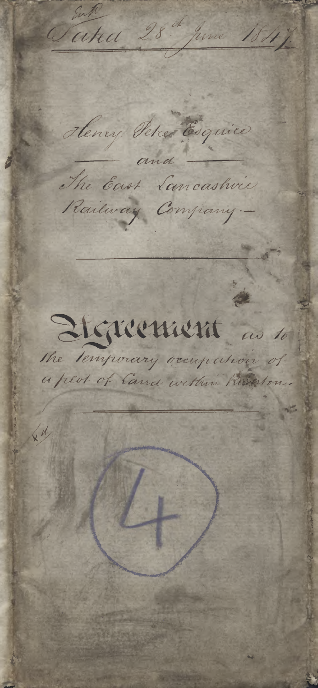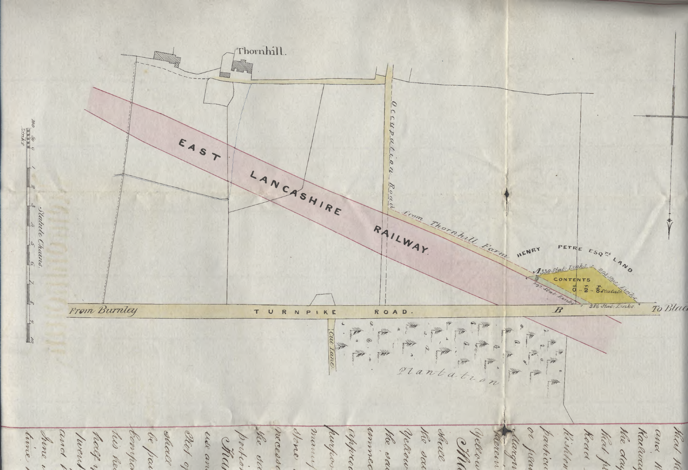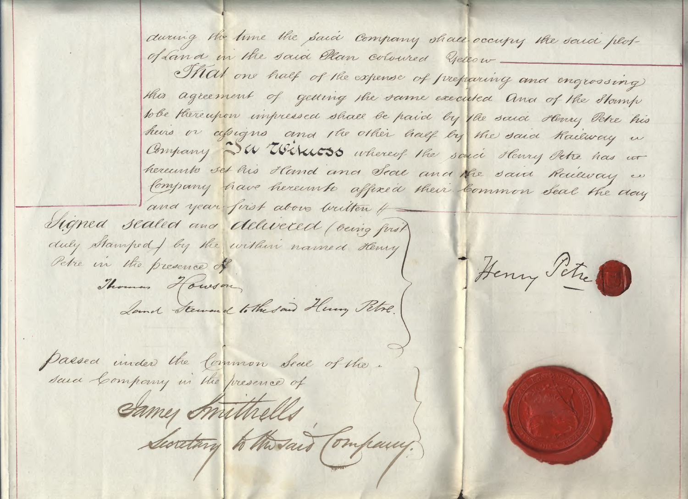during the time the said Company shall occupy the said plotof Land in the said Ellan coloured yellow Nat one half of the expense of preparing and engrossing this agreement of getting the same executed and of the Stamp tobe thereupon impressed shall be paid by the said stemy Petre his heirs or alsigns and the other half by the said Railway in Company WWWW55 whereof the saice Henry Petre has ut hereunto set his Hand and Seal and the said Railway we Company have hereunto affixed their Common Seal the day and year first above written +

Signed sealed and delivered (veing first) duly stamped by the within named Henry Petre in the presence of

Land Steward to the said Henry Petre.

Henry Peter

Passea inder the Common Seal of the.

Thomas Howson

Same Anithells